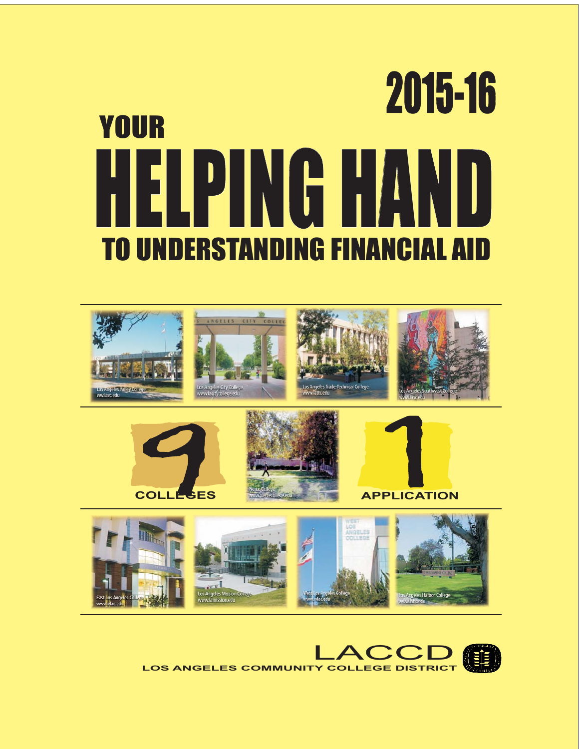# HELPING HAND HELPING 2015-16 TO UNDERSTANDING FINANCIAL AID YOUR











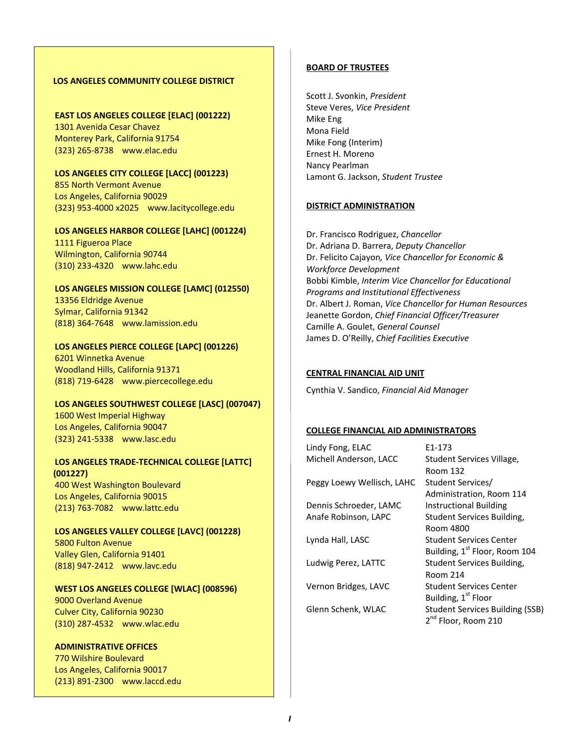#### **LOS ANGELES COMMUNITY COLLEGE DISTRICT**

**EAST LOS ANGELES COLLEGE [ELAC] (001222)** 1301 Avenida Cesar Chavez Monterey Park, California 91754 (323) 265‐8738 www.elac.edu

**LOS ANGELES CITY COLLEGE [LACC] (001223)** 855 North Vermont Avenue Los Angeles, California 90029 (323) 953‐4000 x2025 www.lacitycollege.edu

**LOS ANGELES HARBOR COLLEGE [LAHC] (001224)** 1111 Figueroa Place Wilmington, California 90744 (310) 233‐4320 www.lahc.edu

#### **LOS ANGELES MISSION COLLEGE [LAMC] (012550)**

13356 Eldridge Avenue Sylmar, California 91342 (818) 364‐7648 www.lamission.edu

**LOS ANGELES PIERCE COLLEGE [LAPC] (001226)** 6201 Winnetka Avenue Woodland Hills, California 91371 (818) 719‐6428 www.piercecollege.edu

#### **LOS ANGELES SOUTHWEST COLLEGE [LASC] (007047)**

1600 West Imperial Highway Los Angeles, California 90047 (323) 241‐5338 www.lasc.edu

#### **LOS ANGELES TRADE‐TECHNICAL COLLEGE [LATTC] (001227)** 400 West Washington Boulevard

Los Angeles, California 90015 (213) 763‐7082 www.lattc.edu

# **LOS ANGELES VALLEY COLLEGE [LAVC] (001228)**

5800 Fulton Avenue Valley Glen, California 91401 (818) 947‐2412 www.lavc.edu

#### **WEST LOS ANGELES COLLEGE [WLAC] (008596)**

9000 Overland Avenue Culver City, California 90230 (310) 287‐4532 www.wlac.edu

#### **ADMINISTRATIVE OFFICES**

770 Wilshire Boulevard Los Angeles, California 90017 (213) 891‐2300 www.laccd.edu

#### **BOARD OF TRUSTEES**

Scott J. Svonkin, *President* Steve Veres, *Vice President* Mike Eng Mona Field Mike Fong (Interim) Ernest H. Moreno Nancy Pearlman Lamont G. Jackson, *Student Trustee*

#### **DISTRICT ADMINISTRATION**

Dr. Francisco Rodriguez, *Chancellor* Dr. Adriana D. Barrera, *Deputy Chancellor* Dr. Felicito Cajayon*, Vice Chancellor for Economic & Workforce Development* Bobbi Kimble, *Interim Vice Chancellor for Educational Programs and Institutional Effectiveness* Dr. Albert J. Roman, *Vice Chancellor for Human Resources* Jeanette Gordon, *Chief Financial Officer/Treasurer*  Camille A. Goulet, *General Counsel* James D. O'Reilly, *Chief Facilities Executive*

#### **CENTRAL FINANCIAL AID UNIT**

Cynthia V. Sandico, *Financial Aid Manager*

#### **COLLEGE FINANCIAL AID ADMINISTRATORS**

Lindy Fong, ELAC **E1-173** Michell Anderson, LACC Student Services Village,

Peggy Loewy Wellisch, LAHC Student Services/

Dennis Schroeder, LAMC Instructional Building

 Room 132 Administration, Room 114 Anafe Robinson, LAPC Student Services Building, Room 4800 Lynda Hall, LASC Student Services Center Building, 1<sup>st</sup> Floor, Room 104 Ludwig Perez, LATTC Student Services Building, Room 214 Vernon Bridges, LAVC Student Services Center Building, 1<sup>st</sup> Floor Glenn Schenk, WLAC Student Services Building (SSB) 2<sup>nd</sup> Floor, Room 210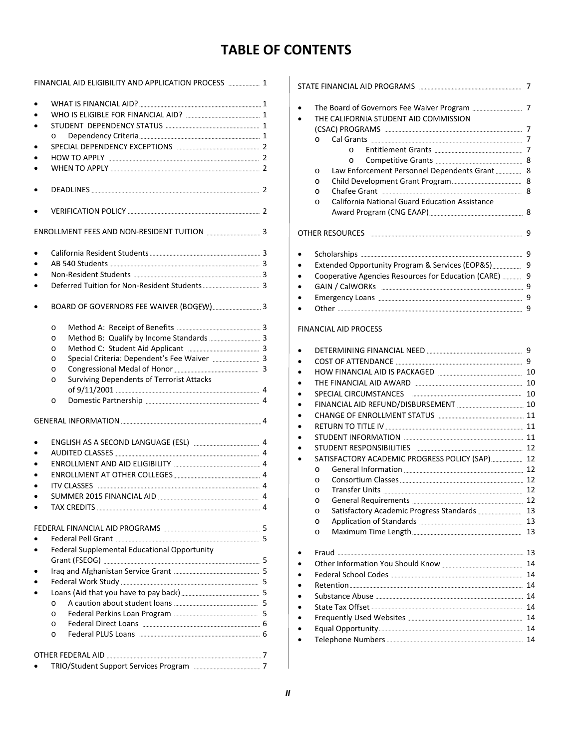# **TABLE OF CONTENTS**

| FINANCIAL AID ELIGIBILITY AND APPLICATION PROCESS  1 |                                                        |  |  |  |
|------------------------------------------------------|--------------------------------------------------------|--|--|--|
|                                                      |                                                        |  |  |  |
|                                                      |                                                        |  |  |  |
|                                                      |                                                        |  |  |  |
|                                                      | $\circ$                                                |  |  |  |
|                                                      |                                                        |  |  |  |
|                                                      |                                                        |  |  |  |
|                                                      |                                                        |  |  |  |
|                                                      |                                                        |  |  |  |
|                                                      |                                                        |  |  |  |
|                                                      |                                                        |  |  |  |
|                                                      |                                                        |  |  |  |
|                                                      |                                                        |  |  |  |
|                                                      |                                                        |  |  |  |
|                                                      |                                                        |  |  |  |
|                                                      |                                                        |  |  |  |
|                                                      |                                                        |  |  |  |
|                                                      |                                                        |  |  |  |
|                                                      | $\circ$                                                |  |  |  |
|                                                      | $\circ$                                                |  |  |  |
|                                                      | $\circ$                                                |  |  |  |
|                                                      | Special Criteria: Dependent's Fee Waiver  3<br>$\circ$ |  |  |  |
|                                                      | $\circ$                                                |  |  |  |
|                                                      | Surviving Dependents of Terrorist Attacks<br>$\circ$   |  |  |  |
|                                                      |                                                        |  |  |  |
|                                                      | $\circ$                                                |  |  |  |
|                                                      |                                                        |  |  |  |
|                                                      |                                                        |  |  |  |
|                                                      |                                                        |  |  |  |
|                                                      |                                                        |  |  |  |
|                                                      |                                                        |  |  |  |
|                                                      |                                                        |  |  |  |
|                                                      |                                                        |  |  |  |
|                                                      |                                                        |  |  |  |
|                                                      |                                                        |  |  |  |
|                                                      |                                                        |  |  |  |
|                                                      |                                                        |  |  |  |
|                                                      | Federal Supplemental Educational Opportunity           |  |  |  |
|                                                      |                                                        |  |  |  |
|                                                      |                                                        |  |  |  |
|                                                      |                                                        |  |  |  |
|                                                      |                                                        |  |  |  |
|                                                      | $\circ$                                                |  |  |  |
|                                                      | O                                                      |  |  |  |
|                                                      | O                                                      |  |  |  |
|                                                      | $\circ$                                                |  |  |  |
|                                                      |                                                        |  |  |  |
|                                                      |                                                        |  |  |  |
|                                                      |                                                        |  |  |  |

|         | THE CALIFORNIA STUDENT AID COMMISSION                 |              |
|---------|-------------------------------------------------------|--------------|
|         |                                                       | 7            |
| $\circ$ |                                                       | 7            |
|         | $\Omega$                                              |              |
|         | O                                                     |              |
| O       | Law Enforcement Personnel Dependents Grant            | 8            |
| O       |                                                       |              |
| O       |                                                       |              |
| O       | <b>California National Guard Education Assistance</b> |              |
|         |                                                       |              |
|         | OTHER RESOURCES                                       | 9            |
|         |                                                       | 9            |
|         | Extended Opportunity Program & Services (EOP&S)       | 9            |
|         | Cooperative Agencies Resources for Education (CARE)   | 9            |
|         |                                                       | 9            |
|         |                                                       | 9            |
|         |                                                       | 9            |
|         | FINANCIAL AID PROCESS                                 |              |
|         |                                                       |              |
|         |                                                       |              |
|         |                                                       |              |
|         |                                                       |              |
|         |                                                       |              |
|         | SPECIAL CIRCUMSTANCES                                 |              |
|         |                                                       |              |
|         |                                                       |              |
|         |                                                       |              |
|         |                                                       |              |
|         |                                                       |              |
|         |                                                       |              |
| $\circ$ |                                                       |              |
| $\circ$ |                                                       |              |
| O       |                                                       | 9<br>9<br>12 |
| O       |                                                       |              |
| O       |                                                       | 13           |
| O       |                                                       |              |
| O       |                                                       |              |
|         |                                                       | 13<br>13     |
|         |                                                       | 14           |
|         |                                                       |              |
|         |                                                       |              |
|         |                                                       |              |

 Frequently Used Websites 14 Equal Opportunity 14 Telephone Numbers 14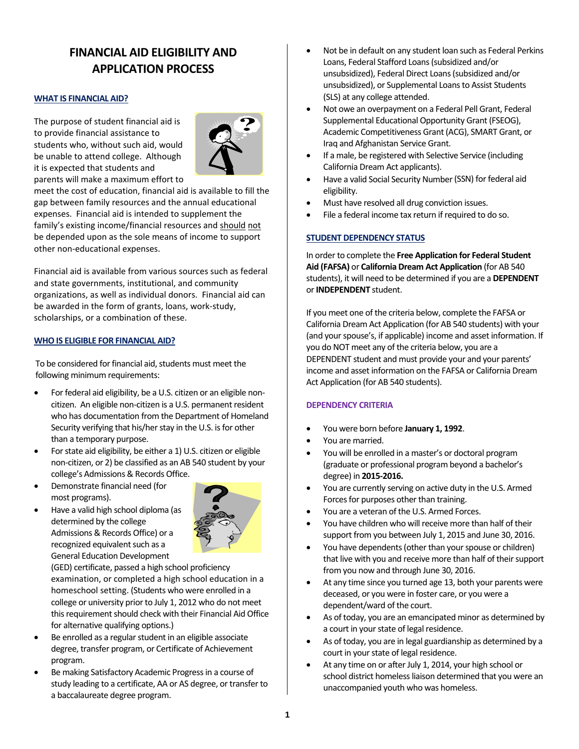# **FINANCIAL AID ELIGIBILITY AND APPLICATION PROCESS**

#### **WHAT IS FINANCIAL AID?**

The purpose of student financial aid is to provide financial assistance to students who, without such aid, would be unable to attend college. Although it is expected that students and parents will make a maximum effort to



meet the cost of education, financial aid is available to fill the gap between family resources and the annual educational expenses. Financial aid is intended to supplement the family's existing income/financial resources and should not be depended upon as the sole means of income to support other non‐educational expenses.

Financial aid is available from various sources such as federal and state governments, institutional, and community organizations, as well as individual donors. Financial aid can be awarded in the form of grants, loans, work‐study, scholarships, or a combination of these.

#### **WHO IS ELIGIBLE FOR FINANCIAL AID?**

To be considered for financial aid, students must meet the following minimum requirements:

- For federal aid eligibility, be a U.S. citizen or an eligible noncitizen. An eligible non-citizen is a U.S. permanent resident who has documentation from the Department of Homeland Security verifying that his/her stay in the U.S. is for other than a temporary purpose.
- For state aid eligibility, be either a 1) U.S. citizen or eligible non‐citizen, or 2) be classified as an AB 540 student by your college's Admissions & Records Office.
- Demonstrate financial need (for most programs).
- Have a valid high school diploma (as determined by the college Admissions & Records Office) or a recognized equivalent such as a General Education Development



(GED) certificate, passed a high school proficiency examination, or completed a high school education in a homeschool setting. (Students who were enrolled in a college or university prior to July 1, 2012 who do not meet this requirement should check with their Financial Aid Office for alternative qualifying options.)

- Be enrolled as a regular student in an eligible associate degree, transfer program, or Certificate of Achievement program.
- Be making Satisfactory Academic Progress in a course of study leading to a certificate, AA or AS degree, or transfer to a baccalaureate degree program.
- Not be in default on any student loan such as Federal Perkins Loans, Federal Stafford Loans(subsidized and/or unsubsidized), Federal Direct Loans(subsidized and/or unsubsidized), or Supplemental Loans to Assist Students (SLS) at any college attended.
- Not owe an overpayment on a Federal Pell Grant, Federal Supplemental Educational Opportunity Grant (FSEOG), Academic Competitiveness Grant (ACG), SMART Grant, or Iraq and Afghanistan Service Grant.
- If a male, be registered with Selective Service (including California Dream Act applicants).
- Have a valid Social Security Number(SSN) for federal aid eligibility.
- Must have resolved all drug conviction issues.
- File a federal income tax return if required to do so.

# **STUDENT DEPENDENCY STATUS**

In order to complete the **Free Application for Federal Student Aid (FAFSA)** or **California Dream Act Application** (for AB 540 students), it will need to be determined if you are a **DEPENDENT** or**INDEPENDENT** student.

If you meet one of the criteria below, complete the FAFSA or California Dream Act Application (for AB 540 students) with your (and your spouse's, if applicable) income and asset information. If you do NOT meet any of the criteria below, you are a DEPENDENT student and must provide your and your parents' income and asset information on the FAFSA or California Dream Act Application (for AB 540 students).

# **DEPENDENCY CRITERIA**

- You were born before **January 1, 1992**.
- You are married.
- You will be enrolled in a master's or doctoral program (graduate or professional program beyond a bachelor's degree) in **2015‐2016.**
- You are currently serving on active duty in the U.S. Armed Forces for purposes other than training.
- You are a veteran of the U.S. Armed Forces.
- You have children who will receive more than half of their support from you between July 1, 2015 and June 30, 2016.
- You have dependents (other than your spouse or children) that live with you and receive more than half of their support from you now and through June 30, 2016.
- At any time since you turned age 13, both your parents were deceased, or you were in foster care, or you were a dependent/ward of the court.
- As of today, you are an emancipated minor as determined by a court in your state of legal residence.
- As of today, you are in legal guardianship as determined by a court in your state of legal residence.
- At any time on or after July 1, 2014, your high school or school district homeless liaison determined that you were an unaccompanied youth who was homeless.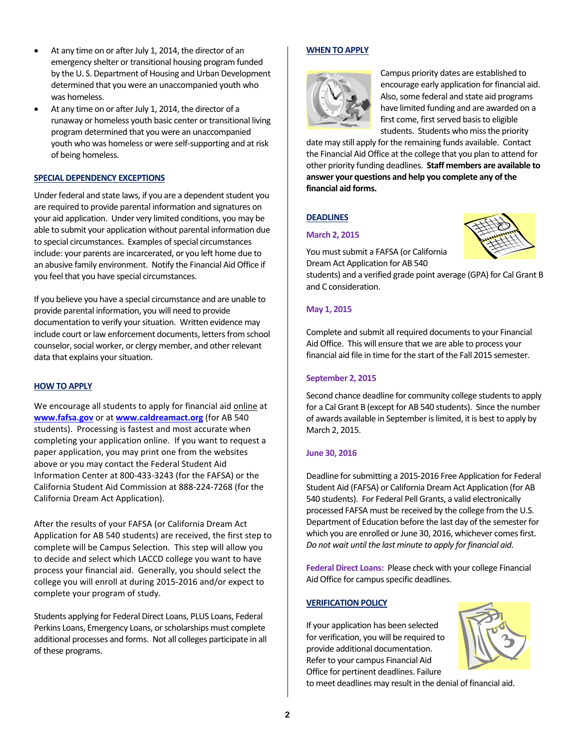- At any time on or after July 1, 2014, the director of an emergency shelter or transitional housing program funded by the U. S. Department of Housing and Urban Development determined that you were an unaccompanied youth who was homeless.
- At any time on or after July 1, 2014, the director of a runaway or homeless youth basic center or transitional living program determined that you were an unaccompanied youth who was homeless or were self‐supporting and at risk of being homeless.

# **SPECIAL DEPENDENCY EXCEPTIONS**

Under federal and state laws, if you are a dependent student you are required to provide parental information and signatures on your aid application. Under very limited conditions, you may be able to submit your application without parental information due to special circumstances. Examples of special circumstances include: your parents are incarcerated, or you left home due to an abusive family environment. Notify the Financial Aid Office if you feel that you have special circumstances.

If you believe you have a special circumstance and are unable to provide parental information, you will need to provide documentation to verify your situation. Written evidence may include court or law enforcement documents, letters from school counselor, social worker, or clergy member, and other relevant data that explains your situation.

# **HOW TO APPLY**

We encourage all students to apply for financial aid online at **www.fafsa.gov** or at **www.caldreamact.org** (for AB 540 students). Processing is fastest and most accurate when completing your application online. If you want to request a paper application, you may print one from the websites above or you may contact the Federal Student Aid Information Center at 800‐433‐3243 (for the FAFSA) or the California Student Aid Commission at 888‐224‐7268 (for the California Dream Act Application).

After the results of your FAFSA (or California Dream Act Application for AB 540 students) are received, the first step to complete will be Campus Selection. This step will allow you to decide and select which LACCD college you want to have process your financial aid. Generally, you should select the college you will enroll at during 2015‐2016 and/or expect to complete your program of study.

Students applying for Federal Direct Loans, PLUS Loans, Federal Perkins Loans, Emergency Loans, or scholarships must complete additional processes and forms. Not all colleges participate in all of these programs.

# **WHEN TO APPLY**



Campus priority dates are established to encourage early application for financial aid. Also, some federal and state aid programs have limited funding and are awarded on a first come, first served basis to eligible students. Students who miss the priority

date may still apply for the remaining funds available. Contact the Financial Aid Office at the college that you plan to attend for other priority funding deadlines. **Staff members are available to answer your questions and help you complete any of the financial aid forms.**

# **DEADLINES**

#### **March 2, 2015**

You must submit a FAFSA (or California Dream Act Application for AB 540

students) and a verified grade point average (GPA) for Cal Grant B and C consideration.

# **May 1, 2015**

Complete and submit all required documents to your Financial Aid Office. This will ensure that we are able to process your financial aid file in time for the start of the Fall 2015 semester.

#### **September 2, 2015**

Second chance deadline for community college students to apply for a Cal Grant B (except for AB 540 students). Since the number of awards available in September is limited, it is best to apply by March 2, 2015.

#### **June 30, 2016**

Deadline for submitting a 2015-2016 Free Application for Federal Student Aid (FAFSA) or California Dream Act Application (for AB 540 students). For Federal Pell Grants, a valid electronically processed FAFSA must be received by the college from the U.S. Department of Education before the last day of the semester for which you are enrolled or June 30, 2016, whichever comes first. *Do not wait until the last minute to apply for financial aid.*

**Federal Direct Loans:** Please check with your college Financial Aid Office for campus specific deadlines.

# **VERIFICATION POLICY**

If your application has been selected for verification, you will be required to provide additional documentation. Refer to your campus Financial Aid Office for pertinent deadlines. Failure

to meet deadlines may result in the denial of financial aid.

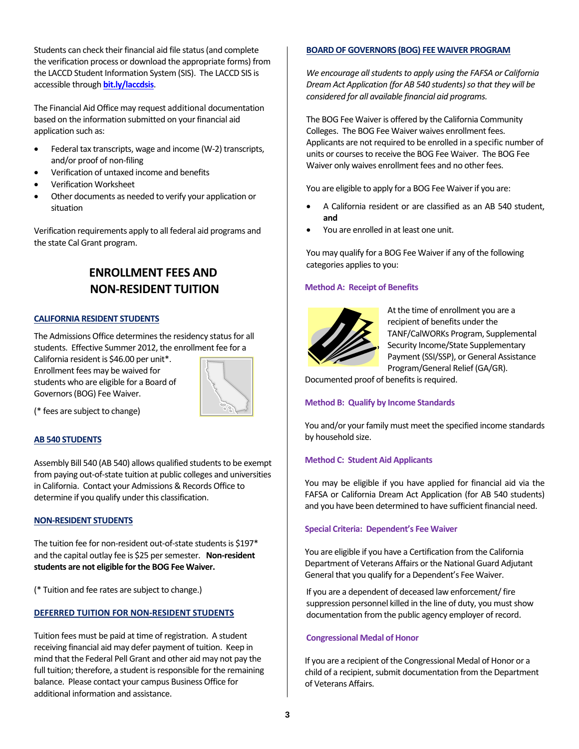Students can check their financial aid file status (and complete the verification process or download the appropriate forms) from the LACCD Student Information System (SIS). The LACCD SIS is accessible through **bit.ly/laccdsis**.

The Financial Aid Office may request additional documentation based on the information submitted on your financial aid application such as:

- Federal tax transcripts, wage and income (W‐2) transcripts, and/or proof of non‐filing
- Verification of untaxed income and benefits
- Verification Worksheet
- Other documents as needed to verify your application or situation

Verification requirements apply to all federal aid programs and the state Cal Grant program.

# **ENROLLMENT FEES AND NON‐RESIDENT TUITION**

# **CALIFORNIA RESIDENT STUDENTS**

The Admissions Office determines the residency status for all students. Effective Summer 2012, the enrollment fee for a

California resident is \$46.00 per unit\*. Enrollment fees may be waived for students who are eligible for a Board of Governors(BOG) Fee Waiver.



(\* fees are subject to change)

# **AB 540 STUDENTS**

Assembly Bill 540 (AB 540) allows qualified students to be exempt from paying out‐of‐state tuition at public colleges and universities in California. Contact your Admissions & Records Office to determine if you qualify under this classification.

# **NON‐RESIDENT STUDENTS**

The tuition fee for non-resident out-of-state students is \$197\* and the capital outlay fee is \$25 per semester. Non-resident **students are not eligible forthe BOG Fee Waiver.**

(\* Tuition and fee rates are subject to change.)

# **DEFERRED TUITION FOR NON‐RESIDENT STUDENTS**

Tuition fees must be paid at time of registration. A student receiving financial aid may defer payment of tuition. Keep in mind that the Federal Pell Grant and other aid may not pay the full tuition; therefore, a student is responsible for the remaining balance. Please contact your campus Business Office for additional information and assistance.

#### **BOARD OF GOVERNORS (BOG) FEE WAIVER PROGRAM**

*We encourage all students to apply using the FAFSA or California Dream Act Application* (for AB 540 *students*) so *that they will be considered for all available financial aid programs.*

The BOG Fee Waiver is offered by the California Community Colleges. The BOG Fee Waiver waives enrollment fees. Applicants are not required to be enrolled in a specific number of units or courses to receive the BOG Fee Waiver. The BOG Fee Waiver only waives enrollment fees and no other fees.

You are eligible to apply for a BOG Fee Waiver if you are:

- A California resident or are classified as an AB 540 student, **and**
- You are enrolled in at least one unit.

You may qualify for a BOG Fee Waiver if any of the following categories applies to you:

#### **Method A: Receipt of Benefits**



At the time of enrollment you are a recipient of benefits under the TANF/CalWORKs Program, Supplemental Security Income/State Supplementary Payment (SSI/SSP), or General Assistance Program/General Relief (GA/GR).

Documented proof of benefits is required.

# **Method B: Qualify by Income Standards**

You and/or your family must meet the specified income standards by household size.

#### **Method C: Student Aid Applicants**

You may be eligible if you have applied for financial aid via the FAFSA or California Dream Act Application (for AB 540 students) and you have been determined to have sufficient financial need.

#### **Special Criteria: Dependent's Fee Waiver**

You are eligible if you have a Certification from the California Department of Veterans Affairs or the National Guard Adjutant General that you qualify for a Dependent's Fee Waiver.

If you are a dependent of deceased law enforcement/fire suppression personnel killed in the line of duty, you must show documentation from the public agency employer of record.

#### **Congressional Medal of Honor**

If you are a recipient of the Congressional Medal of Honor or a child of a recipient, submit documentation from the Department of Veterans Affairs.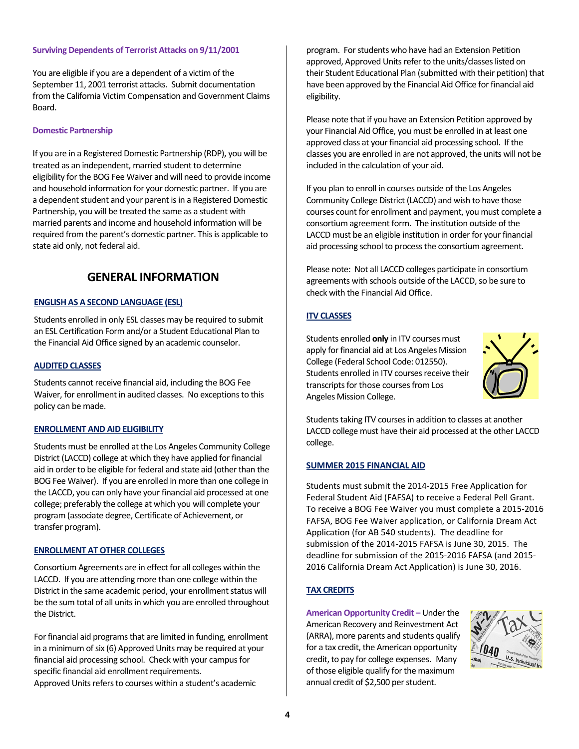#### **Surviving Dependents of Terrorist Attacks on 9/11/2001**

You are eligible if you are a dependent of a victim of the September 11, 2001 terrorist attacks. Submit documentation from the California Victim Compensation and Government Claims Board.

#### **Domestic Partnership**

If you are in a Registered Domestic Partnership (RDP), you will be treated as an independent, married student to determine eligibility for the BOG Fee Waiver and will need to provide income and household information for your domestic partner. If you are a dependent student and your parent is in a Registered Domestic Partnership, you will be treated the same as a student with married parents and income and household information will be required from the parent's domestic partner. This is applicable to state aid only, not federal aid.

# **GENERAL INFORMATION**

#### **ENGLISH AS A SECOND LANGUAGE (ESL)**

Students enrolled in only ESL classes may be required to submit an ESL Certification Form and/or a Student Educational Plan to the Financial Aid Office signed by an academic counselor.

#### **AUDITED CLASSES**

Students cannot receive financial aid, including the BOG Fee Waiver, for enrollment in audited classes. No exceptions to this policy can be made.

#### **ENROLLMENT AND AID ELIGIBILITY**

Students must be enrolled at the Los Angeles Community College District (LACCD) college at which they have applied for financial aid in order to be eligible for federal and state aid (other than the BOG Fee Waiver). If you are enrolled in more than one college in the LACCD, you can only have your financial aid processed at one college; preferably the college at which you will complete your program (associate degree, Certificate of Achievement, or transfer program).

# **ENROLLMENT AT OTHER COLLEGES**

Consortium Agreements are in effect for all colleges within the LACCD. If you are attending more than one college within the District in the same academic period, your enrollment status will be the sum total of all units in which you are enrolled throughout the District.

For financial aid programs that are limited in funding, enrollment in a minimum of six (6) Approved Units may be required at your financial aid processing school. Check with your campus for specific financial aid enrollment requirements. Approved Units refers to courses within a student's academic

program. For students who have had an Extension Petition approved, Approved Units refer to the units/classes listed on their Student Educational Plan (submitted with their petition) that have been approved by the Financial Aid Office for financial aid eligibility.

Please note that if you have an Extension Petition approved by your Financial Aid Office, you must be enrolled in at least one approved class at your financial aid processing school. If the classes you are enrolled in are not approved, the units will not be included in the calculation of your aid.

If you plan to enroll in courses outside of the Los Angeles Community College District (LACCD) and wish to have those courses count for enrollment and payment, you must complete a consortium agreement form. The institution outside of the LACCD must be an eligible institution in order for your financial aid processing school to process the consortium agreement.

Please note: Not all LACCD colleges participate in consortium agreements with schools outside of the LACCD, so be sure to check with the Financial Aid Office.

# **ITV CLASSES**

Students enrolled **only** in ITV courses must apply for financial aid at Los Angeles Mission College (Federal School Code: 012550). Students enrolled in ITV courses receive their transcripts for those courses from Los Angeles Mission College.



Students taking ITV courses in addition to classes at another LACCD college must have their aid processed at the other LACCD college.

#### **SUMMER 2015 FINANCIAL AID**

Students must submit the 2014‐2015 Free Application for Federal Student Aid (FAFSA) to receive a Federal Pell Grant. To receive a BOG Fee Waiver you must complete a 2015‐2016 FAFSA, BOG Fee Waiver application, or California Dream Act Application (for AB 540 students). The deadline for submission of the 2014‐2015 FAFSA is June 30, 2015. The deadline for submission of the 2015‐2016 FAFSA (and 2015‐ 2016 California Dream Act Application) is June 30, 2016.

# **TAX CREDITS**

**American Opportunity Credit –** Underthe American Recovery and Reinvestment Act (ARRA), more parents and students qualify for a tax credit, the American opportunity credit, to pay for college expenses. Many of those eligible qualify for the maximum annual credit of \$2,500 per student.

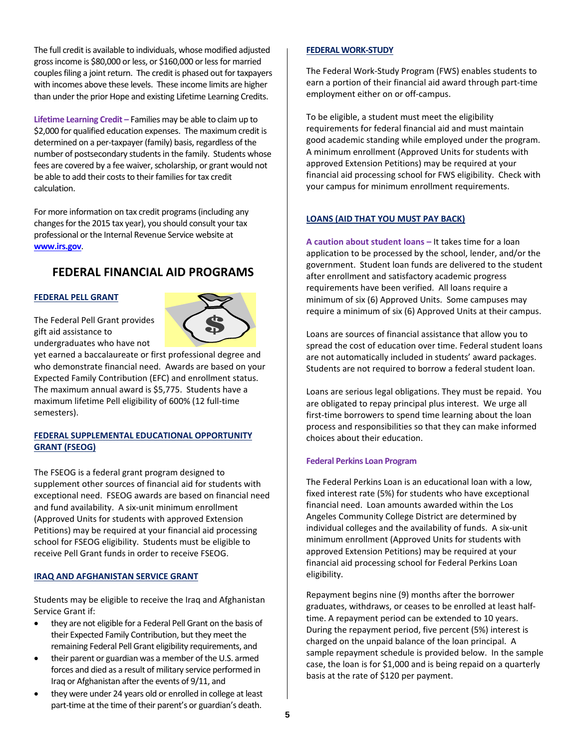The full credit is available to individuals, whose modified adjusted gross income is \$80,000 or less, or \$160,000 or less for married couples filing a joint return. The credit is phased out for taxpayers with incomes above these levels. These income limits are higher than under the prior Hope and existing Lifetime Learning Credits.

**Lifetime Learning Credit –** Families may be able to claim up to \$2,000 for qualified education expenses. The maximum credit is determined on a per‐taxpayer(family) basis, regardless of the number of postsecondary students in the family. Students whose fees are covered by a fee waiver, scholarship, or grant would not be able to add their costs to their families for tax credit calculation.

For more information on tax credit programs(including any changes for the 2015 tax year), you should consult your tax professional or the Internal Revenue Service website at **www.irs.gov**.

# **FEDERAL FINANCIAL AID PROGRAMS**

# **FEDERAL PELL GRANT**

The Federal Pell Grant provides gift aid assistance to undergraduates who have not



yet earned a baccalaureate or first professional degree and who demonstrate financial need. Awards are based on your Expected Family Contribution (EFC) and enrollment status. The maximum annual award is \$5,775. Students have a maximum lifetime Pell eligibility of 600% (12 full‐time semesters).

# **FEDERAL SUPPLEMENTAL EDUCATIONAL OPPORTUNITY GRANT (FSEOG)**

The FSEOG is a federal grant program designed to supplement other sources of financial aid for students with exceptional need. FSEOG awards are based on financial need and fund availability. A six‐unit minimum enrollment (Approved Units for students with approved Extension Petitions) may be required at your financial aid processing school for FSEOG eligibility. Students must be eligible to receive Pell Grant funds in order to receive FSEOG.

# **IRAQ AND AFGHANISTAN SERVICE GRANT**

Students may be eligible to receive the Iraq and Afghanistan Service Grant if:

- they are not eligible for a Federal Pell Grant on the basis of their Expected Family Contribution, but they meet the remaining Federal Pell Grant eligibility requirements, and
- their parent or guardian was a member of the U.S. armed forces and died as a result of military service performed in Iraq or Afghanistan after the events of 9/11, and
- they were under 24 years old or enrolled in college at least part-time at the time of their parent's or guardian's death.

# **FEDERAL WORK‐STUDY**

The Federal Work‐Study Program (FWS) enables students to earn a portion of their financial aid award through part‐time employment either on or off-campus.

To be eligible, a student must meet the eligibility requirements for federal financial aid and must maintain good academic standing while employed under the program. A minimum enrollment (Approved Units for students with approved Extension Petitions) may be required at your financial aid processing school for FWS eligibility. Check with your campus for minimum enrollment requirements.

# **LOANS (AID THAT YOU MUST PAY BACK)**

**A caution about student loans –** It takes time for a loan application to be processed by the school, lender, and/or the government. Student loan funds are delivered to the student after enrollment and satisfactory academic progress requirements have been verified. All loans require a minimum of six (6) Approved Units. Some campuses may require a minimum of six (6) Approved Units at their campus.

Loans are sources of financial assistance that allow you to spread the cost of education over time. Federal student loans are not automatically included in students' award packages. Students are not required to borrow a federal student loan.

Loans are serious legal obligations. They must be repaid. You are obligated to repay principal plus interest. We urge all first-time borrowers to spend time learning about the loan process and responsibilities so that they can make informed choices about their education.

# **Federal Perkins Loan Program**

The Federal Perkins Loan is an educational loan with a low, fixed interest rate (5%) for students who have exceptional financial need. Loan amounts awarded within the Los Angeles Community College District are determined by individual colleges and the availability of funds. A six‐unit minimum enrollment (Approved Units for students with approved Extension Petitions) may be required at your financial aid processing school for Federal Perkins Loan eligibility.

Repayment begins nine (9) months after the borrower graduates, withdraws, or ceases to be enrolled at least half‐ time. A repayment period can be extended to 10 years. During the repayment period, five percent (5%) interest is charged on the unpaid balance of the loan principal. A sample repayment schedule is provided below. In the sample case, the loan is for \$1,000 and is being repaid on a quarterly basis at the rate of \$120 per payment.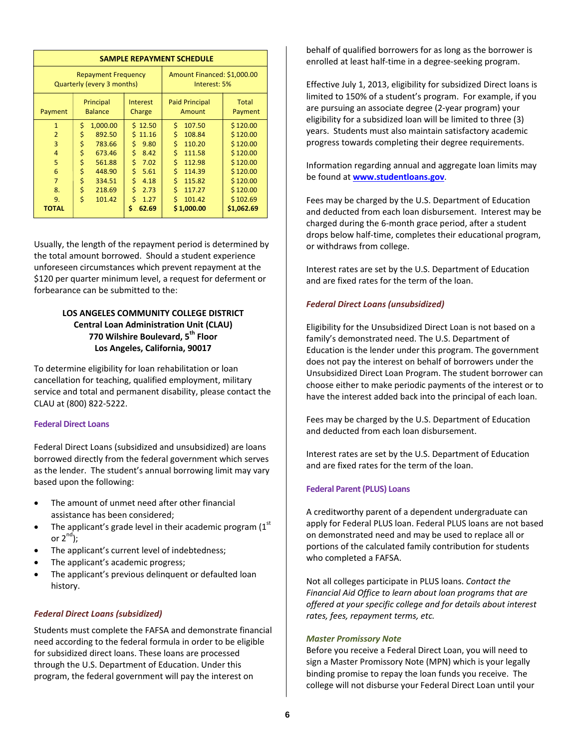| <b>SAMPLE REPAYMENT SCHEDULE</b>                         |                             |                    |                                             |                  |
|----------------------------------------------------------|-----------------------------|--------------------|---------------------------------------------|------------------|
| <b>Repayment Frequency</b><br>Quarterly (every 3 months) |                             |                    | Amount Financed: \$1,000.00<br>Interest: 5% |                  |
| Payment                                                  | Principal<br><b>Balance</b> | Interest<br>Charge | <b>Paid Principal</b><br>Amount             | Total<br>Payment |
| $\mathbf{1}$                                             | \$<br>1,000.00              | \$12.50            | \$<br>107.50                                | \$120.00         |
| $\overline{2}$                                           | \$<br>892.50                | \$11.16            | \$<br>108.84                                | \$120.00         |
| 3                                                        | \$<br>783.66                | Ś.<br>9.80         | \$<br>110.20                                | \$120.00         |
| $\overline{4}$                                           | \$<br>673.46                | \$<br>8.42         | \$<br>111.58                                | \$120.00         |
| 5                                                        | \$<br>561.88                | \$<br>7.02         | \$<br>112.98                                | \$120.00         |
| 6                                                        | \$<br>448.90                | \$<br>5.61         | \$<br>114.39                                | \$120.00         |
| $\overline{7}$                                           | \$<br>334.51                | \$<br>4.18         | \$<br>115.82                                | \$120.00         |
| 8.                                                       | \$<br>218.69                | \$<br>2.73         | \$<br>117.27                                | \$120.00         |
| 9.                                                       | Ś<br>101.42                 | Ś<br>1.27          | Ś<br>101.42                                 | \$102.69         |
| <b>TOTAL</b>                                             |                             | Ś<br>62.69         | \$1,000.00                                  | \$1,062.69       |

Usually, the length of the repayment period is determined by the total amount borrowed. Should a student experience unforeseen circumstances which prevent repayment at the \$120 per quarter minimum level, a request for deferment or forbearance can be submitted to the:

# **LOS ANGELES COMMUNITY COLLEGE DISTRICT Central Loan Administration Unit (CLAU) 770 Wilshire Boulevard, 5th Floor Los Angeles, California, 90017**

To determine eligibility for loan rehabilitation or loan cancellation for teaching, qualified employment, military service and total and permanent disability, please contact the CLAU at (800) 822‐5222.

# **Federal Direct Loans**

Federal Direct Loans (subsidized and unsubsidized) are loans borrowed directly from the federal government which serves as the lender. The student's annual borrowing limit may vary based upon the following:

- The amount of unmet need after other financial assistance has been considered;
- The applicant's grade level in their academic program  $(1<sup>st</sup>$ or  $2^{nd}$ );
- The applicant's current level of indebtedness;
- The applicant's academic progress;
- The applicant's previous delinquent or defaulted loan history.

# *Federal Direct Loans (subsidized)*

Students must complete the FAFSA and demonstrate financial need according to the federal formula in order to be eligible for subsidized direct loans. These loans are processed through the U.S. Department of Education. Under this program, the federal government will pay the interest on

behalf of qualified borrowers for as long as the borrower is enrolled at least half‐time in a degree‐seeking program.

Effective July 1, 2013, eligibility for subsidized Direct loans is limited to 150% of a student's program. For example, if you are pursuing an associate degree (2‐year program) your eligibility for a subsidized loan will be limited to three (3) years. Students must also maintain satisfactory academic progress towards completing their degree requirements.

Information regarding annual and aggregate loan limits may be found at **www.studentloans.gov**.

Fees may be charged by the U.S. Department of Education and deducted from each loan disbursement. Interest may be charged during the 6‐month grace period, after a student drops below half‐time, completes their educational program, or withdraws from college.

Interest rates are set by the U.S. Department of Education and are fixed rates for the term of the loan.

# *Federal Direct Loans (unsubsidized)*

Eligibility for the Unsubsidized Direct Loan is not based on a family's demonstrated need. The U.S. Department of Education is the lender under this program. The government does not pay the interest on behalf of borrowers under the Unsubsidized Direct Loan Program. The student borrower can choose either to make periodic payments of the interest or to have the interest added back into the principal of each loan.

Fees may be charged by the U.S. Department of Education and deducted from each loan disbursement.

Interest rates are set by the U.S. Department of Education and are fixed rates for the term of the loan.

#### **Federal Parent(PLUS) Loans**

A creditworthy parent of a dependent undergraduate can apply for Federal PLUS loan. Federal PLUS loans are not based on demonstrated need and may be used to replace all or portions of the calculated family contribution for students who completed a FAFSA.

Not all colleges participate in PLUS loans. *Contact the Financial Aid Office to learn about loan programs that are offered at your specific college and for details about interest rates, fees, repayment terms, etc.*

#### *Master Promissory Note*

Before you receive a Federal Direct Loan, you will need to sign a Master Promissory Note (MPN) which is your legally binding promise to repay the loan funds you receive. The college will not disburse your Federal Direct Loan until your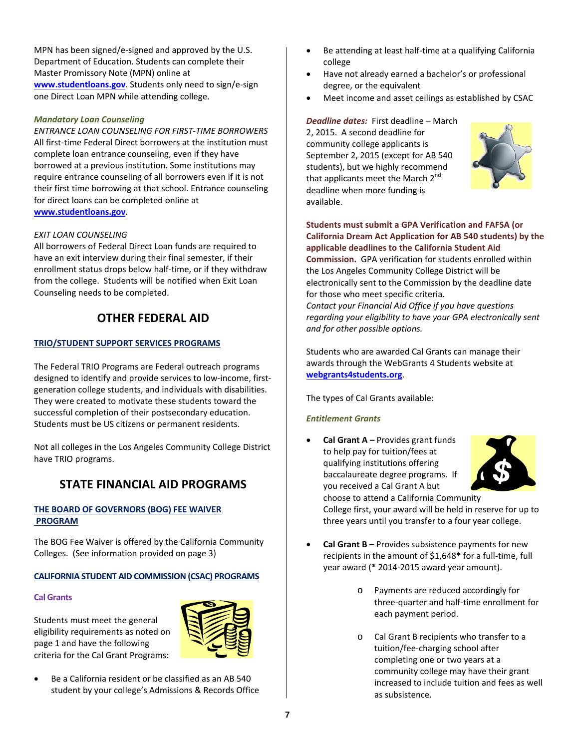MPN has been signed/e-signed and approved by the U.S. Department of Education. Students can complete their Master Promissory Note (MPN) online at **www.studentloans.gov**. Students only need to sign/e‐sign one Direct Loan MPN while attending college.

# *Mandatory Loan Counseling*

*ENTRANCE LOAN COUNSELING FOR FIRST‐TIME BORROWERS* All first-time Federal Direct borrowers at the institution must complete loan entrance counseling, even if they have borrowed at a previous institution. Some institutions may require entrance counseling of all borrowers even if it is not their first time borrowing at that school. Entrance counseling for direct loans can be completed online at **www.studentloans.gov**.

# *EXIT LOAN COUNSELING*

All borrowers of Federal Direct Loan funds are required to have an exit interview during their final semester, if their enrollment status drops below half‐time, or if they withdraw from the college. Students will be notified when Exit Loan Counseling needs to be completed.

# **OTHER FEDERAL AID**

# **TRIO/STUDENT SUPPORT SERVICES PROGRAMS**

The Federal TRIO Programs are Federal outreach programs designed to identify and provide services to low‐income, first‐ generation college students, and individuals with disabilities. They were created to motivate these students toward the successful completion of their postsecondary education. Students must be US citizens or permanent residents.

Not all colleges in the Los Angeles Community College District have TRIO programs.

# **STATE FINANCIAL AID PROGRAMS**

# **THE BOARD OF GOVERNORS (BOG) FEE WAIVER PROGRAM**

The BOG Fee Waiver is offered by the California Community Colleges. (See information provided on page 3)

# **CALIFORNIA STUDENT AID COMMISSION (CSAC) PROGRAMS**

# **Cal Grants**

Students must meet the general eligibility requirements as noted on page 1 and have the following criteria for the Cal Grant Programs:



 Be a California resident or be classified as an AB 540 student by your college's Admissions & Records Office

- Be attending at least half‐time at a qualifying California college
- Have not already earned a bachelor's or professional degree, or the equivalent
- Meet income and asset ceilings as established by CSAC

#### *Deadline dates:* First deadline – March

2, 2015. A second deadline for community college applicants is September 2, 2015 (except for AB 540 students), but we highly recommend that applicants meet the March  $2^{nd}$ deadline when more funding is available.



**Students must submit a GPA Verification and FAFSA (or California Dream Act Application for AB 540 students) by the applicable deadlines to the California Student Aid Commission.** GPA verification for students enrolled within the Los Angeles Community College District will be electronically sent to the Commission by the deadline date for those who meet specific criteria. *Contact your Financial Aid Office if you have questions regarding your eligibility to have your GPA electronically sent and for other possible options.*

Students who are awarded Cal Grants can manage their awards through the WebGrants 4 Students website at **webgrants4students.org**.

The types of Cal Grants available:

# *Entitlement Grants*

 **Cal Grant A –** Provides grant funds to help pay for tuition/fees at qualifying institutions offering baccalaureate degree programs. If you received a Cal Grant A but choose to attend a California Community



College first, your award will be held in reserve for up to three years until you transfer to a four year college.

- **Cal Grant B –** Provides subsistence payments for new recipients in the amount of \$1,648**\*** for a full‐time, full year award (**\*** 2014‐2015 award year amount).
	- o Payments are reduced accordingly for three‐quarter and half‐time enrollment for each payment period.
	- o Cal Grant B recipients who transfer to a tuition/fee‐charging school after completing one or two years at a community college may have their grant increased to include tuition and fees as well as subsistence.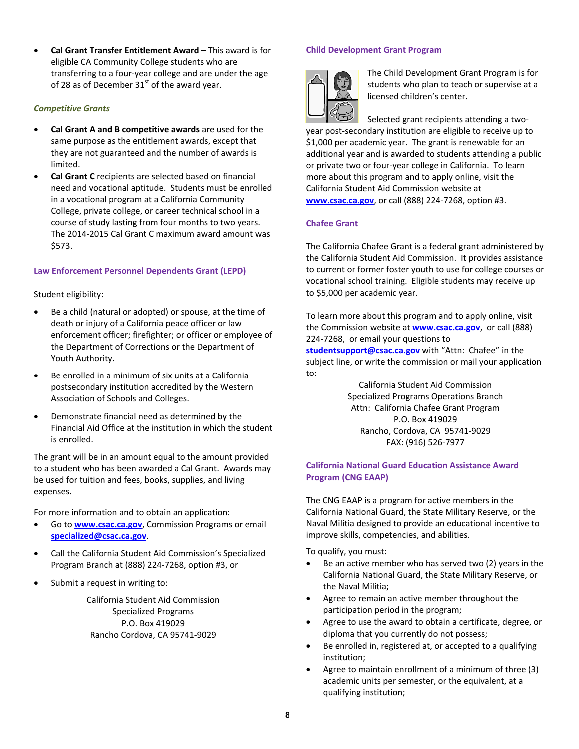**Cal Grant Transfer Entitlement Award –** This award is for eligible CA Community College students who are transferring to a four‐year college and are under the age of 28 as of December  $31<sup>st</sup>$  of the award year.

# *Competitive Grants*

- **Cal Grant A and B competitive awards** are used for the same purpose as the entitlement awards, except that they are not guaranteed and the number of awards is limited.
- **Cal Grant C** recipients are selected based on financial need and vocational aptitude. Students must be enrolled in a vocational program at a California Community College, private college, or career technical school in a course of study lasting from four months to two years. The 2014‐2015 Cal Grant C maximum award amount was \$573.

# **Law Enforcement Personnel Dependents Grant (LEPD)**

#### Student eligibility:

- Be a child (natural or adopted) or spouse, at the time of death or injury of a California peace officer or law enforcement officer; firefighter; or officer or employee of the Department of Corrections or the Department of Youth Authority.
- Be enrolled in a minimum of six units at a California postsecondary institution accredited by the Western Association of Schools and Colleges.
- Demonstrate financial need as determined by the Financial Aid Office at the institution in which the student is enrolled.

The grant will be in an amount equal to the amount provided to a student who has been awarded a Cal Grant. Awards may be used for tuition and fees, books, supplies, and living expenses.

For more information and to obtain an application:

- Go to **www.csac.ca.gov**, Commission Programs or email **specialized@csac.ca.gov**.
- Call the California Student Aid Commission's Specialized Program Branch at (888) 224‐7268, option #3, or
- Submit a request in writing to:

California Student Aid Commission Specialized Programs P.O. Box 419029 Rancho Cordova, CA 95741‐9029

#### **Child Development Grant Program**



The Child Development Grant Program is for students who plan to teach or supervise at a licensed children's center.

Selected grant recipients attending a two‐ year post‐secondary institution are eligible to receive up to \$1,000 per academic year. The grant is renewable for an additional year and is awarded to students attending a public or private two or four‐year college in California. To learn more about this program and to apply online, visit the California Student Aid Commission website at **www.csac.ca.gov**, or call (888) 224‐7268, option #3.

#### **Chafee Grant**

The California Chafee Grant is a federal grant administered by the California Student Aid Commission. It provides assistance to current or former foster youth to use for college courses or vocational school training. Eligible students may receive up to \$5,000 per academic year.

To learn more about this program and to apply online, visit the Commission website at **www.csac.ca.gov**, or call (888) 224‐7268, or email your questions to studentsupport@csac.ca.gov with "Attn: Chafee" in the subject line, or write the commission or mail your application to:

California Student Aid Commission Specialized Programs Operations Branch Attn: California Chafee Grant Program P.O. Box 419029 Rancho, Cordova, CA 95741‐9029 FAX: (916) 526‐7977

# **California National Guard Education Assistance Award Program (CNG EAAP)**

The CNG EAAP is a program for active members in the California National Guard, the State Military Reserve, or the Naval Militia designed to provide an educational incentive to improve skills, competencies, and abilities.

To qualify, you must:

- Be an active member who has served two (2) years in the California National Guard, the State Military Reserve, or the Naval Militia;
- Agree to remain an active member throughout the participation period in the program;
- Agree to use the award to obtain a certificate, degree, or diploma that you currently do not possess;
- Be enrolled in, registered at, or accepted to a qualifying institution;
- Agree to maintain enrollment of a minimum of three (3) academic units per semester, or the equivalent, at a qualifying institution;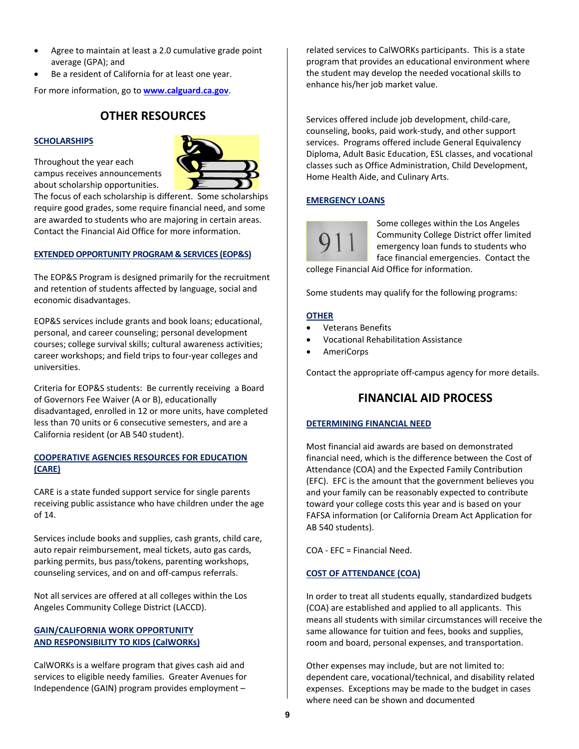- Agree to maintain at least a 2.0 cumulative grade point average (GPA); and
- Be a resident of California for at least one year.

For more information, go to **www.calguard.ca.gov**.

# **OTHER RESOURCES**

#### **SCHOLARSHIPS**

Throughout the year each campus receives announcements about scholarship opportunities.



The focus of each scholarship is different. Some scholarships require good grades, some require financial need, and some are awarded to students who are majoring in certain areas. Contact the Financial Aid Office for more information.

#### **EXTENDED OPPORTUNITY PROGRAM & SERVICES (EOP&S)**

The EOP&S Program is designed primarily for the recruitment and retention of students affected by language, social and economic disadvantages.

EOP&S services include grants and book loans; educational, personal, and career counseling; personal development courses; college survival skills; cultural awareness activities; career workshops; and field trips to four‐year colleges and universities.

Criteria for EOP&S students: Be currently receiving a Board of Governors Fee Waiver (A or B), educationally disadvantaged, enrolled in 12 or more units, have completed less than 70 units or 6 consecutive semesters, and are a California resident (or AB 540 student).

# **COOPERATIVE AGENCIES RESOURCES FOR EDUCATION (CARE)**

CARE is a state funded support service for single parents receiving public assistance who have children under the age of 14.

Services include books and supplies, cash grants, child care, auto repair reimbursement, meal tickets, auto gas cards, parking permits, bus pass/tokens, parenting workshops, counseling services, and on and off‐campus referrals.

Not all services are offered at all colleges within the Los Angeles Community College District (LACCD).

# **GAIN/CALIFORNIA WORK OPPORTUNITY AND RESPONSIBILITY TO KIDS (CalWORKs)**

CalWORKs is a welfare program that gives cash aid and services to eligible needy families. Greater Avenues for Independence (GAIN) program provides employment –

related services to CalWORKs participants. This is a state program that provides an educational environment where the student may develop the needed vocational skills to enhance his/her job market value.

Services offered include job development, child‐care, counseling, books, paid work‐study, and other support services. Programs offered include General Equivalency Diploma, Adult Basic Education, ESL classes, and vocational classes such as Office Administration, Child Development, Home Health Aide, and Culinary Arts.

#### **EMERGENCY LOANS**

Some colleges within the Los Angeles Community College District offer limited emergency loan funds to students who face financial emergencies. Contact the college Financial Aid Office for information.

Some students may qualify for the following programs:

# **OTHER**

- Veterans Benefits
- Vocational Rehabilitation Assistance
- AmeriCorps

Contact the appropriate off‐campus agency for more details.

# **FINANCIAL AID PROCESS**

#### **DETERMINING FINANCIAL NEED**

Most financial aid awards are based on demonstrated financial need, which is the difference between the Cost of Attendance (COA) and the Expected Family Contribution (EFC). EFC is the amount that the government believes you and your family can be reasonably expected to contribute toward your college costs this year and is based on your FAFSA information (or California Dream Act Application for AB 540 students).

COA ‐ EFC = Financial Need.

#### **COST OF ATTENDANCE (COA)**

In order to treat all students equally, standardized budgets (COA) are established and applied to all applicants. This means all students with similar circumstances will receive the same allowance for tuition and fees, books and supplies, room and board, personal expenses, and transportation.

Other expenses may include, but are not limited to: dependent care, vocational/technical, and disability related expenses. Exceptions may be made to the budget in cases where need can be shown and documented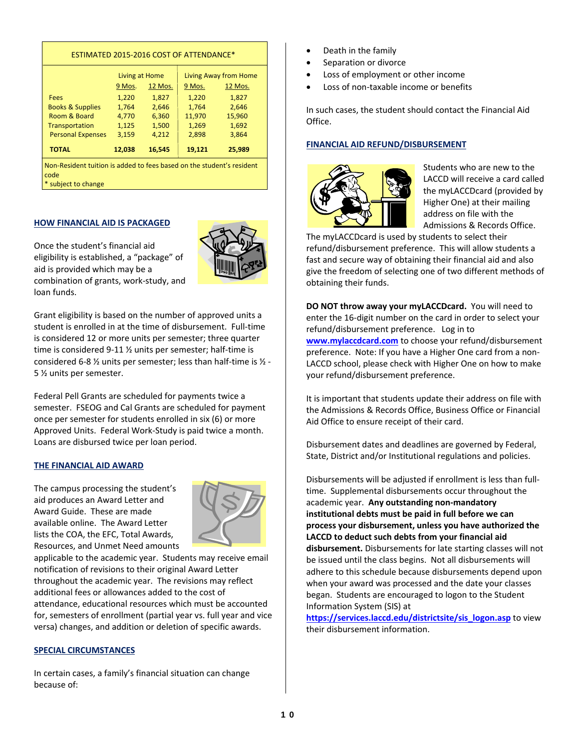| ESTIMATED 2015-2016 COST OF ATTENDANCE*                                       |                |         |                       |         |
|-------------------------------------------------------------------------------|----------------|---------|-----------------------|---------|
|                                                                               | Living at Home |         | Living Away from Home |         |
|                                                                               | 9 Mos.         | 12 Mos. | 9 Mos.                | 12 Mos. |
| Fees                                                                          | 1,220          | 1,827   | 1,220                 | 1,827   |
| <b>Books &amp; Supplies</b>                                                   | 1,764          | 2,646   | 1,764                 | 2,646   |
| Room & Board                                                                  | 4,770          | 6,360   | 11,970                | 15,960  |
| Transportation                                                                | 1,125          | 1,500   | 1,269                 | 1,692   |
| <b>Personal Expenses</b>                                                      | 3,159          | 4,212   | 2,898                 | 3,864   |
| <b>TOTAL</b>                                                                  | 12,038         | 16,545  | 19,121                | 25,989  |
| Non-Resident tuition is added to fees based on the student's resident<br>code |                |         |                       |         |

\* subject to change

#### **HOW FINANCIAL AID IS PACKAGED**



Once the student's financial aid eligibility is established, a "package" of aid is provided which may be a combination of grants, work‐study, and loan funds.

Grant eligibility is based on the number of approved units a student is enrolled in at the time of disbursement. Full‐time is considered 12 or more units per semester; three quarter time is considered 9‐11 ½ units per semester; half‐time is considered 6‐8 ½ units per semester; less than half‐time is ½ ‐ 5 ½ units per semester.

Federal Pell Grants are scheduled for payments twice a semester. FSEOG and Cal Grants are scheduled for payment once per semester for students enrolled in six (6) or more Approved Units. Federal Work‐Study is paid twice a month. Loans are disbursed twice per loan period.

#### **THE FINANCIAL AID AWARD**

The campus processing the student's aid produces an Award Letter and Award Guide. These are made available online. The Award Letter lists the COA, the EFC, Total Awards, Resources, and Unmet Need amounts



applicable to the academic year. Students may receive email notification of revisions to their original Award Letter throughout the academic year. The revisions may reflect additional fees or allowances added to the cost of attendance, educational resources which must be accounted for, semesters of enrollment (partial year vs. full year and vice versa) changes, and addition or deletion of specific awards.

# **SPECIAL CIRCUMSTANCES**

In certain cases, a family's financial situation can change because of:

- Death in the family
- Separation or divorce
- Loss of employment or other income
- Loss of non-taxable income or benefits

In such cases, the student should contact the Financial Aid Office.

# **FINANCIAL AID REFUND/DISBURSEMENT**



Students who are new to the LACCD will receive a card called the myLACCDcard (provided by Higher One) at their mailing address on file with the Admissions & Records Office.

The myLACCDcard is used by students to select their refund/disbursement preference. This will allow students a fast and secure way of obtaining their financial aid and also give the freedom of selecting one of two different methods of obtaining their funds.

**DO NOT throw away your myLACCDcard.** You will need to enter the 16‐digit number on the card in order to select your refund/disbursement preference. Log in to **www.mylaccdcard.com** to choose your refund/disbursement preference. Note: If you have a Higher One card from a non‐ LACCD school, please check with Higher One on how to make your refund/disbursement preference.

It is important that students update their address on file with the Admissions & Records Office, Business Office or Financial Aid Office to ensure receipt of their card.

Disbursement dates and deadlines are governed by Federal, State, District and/or Institutional regulations and policies.

Disbursements will be adjusted if enrollment is less than full‐ time. Supplemental disbursements occur throughout the academic year. **Any outstanding non‐mandatory institutional debts must be paid in full before we can process your disbursement, unless you have authorized the LACCD to deduct such debts from your financial aid disbursement.** Disbursements for late starting classes will not be issued until the class begins. Not all disbursements will adhere to this schedule because disbursements depend upon when your award was processed and the date your classes began. Students are encouraged to logon to the Student Information System (SIS) at

**https://services.laccd.edu/districtsite/sis\_logon.asp** to view their disbursement information.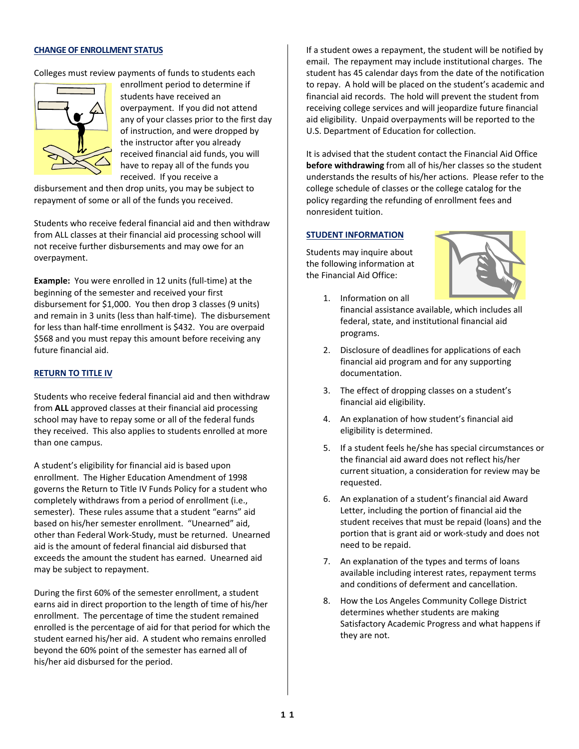#### **CHANGE OF ENROLLMENT STATUS**

Colleges must review payments of funds to students each



enrollment period to determine if students have received an overpayment. If you did not attend any of your classes prior to the first day of instruction, and were dropped by the instructor after you already received financial aid funds, you will have to repay all of the funds you received. If you receive a

disbursement and then drop units, you may be subject to repayment of some or all of the funds you received.

Students who receive federal financial aid and then withdraw from ALL classes at their financial aid processing school will not receive further disbursements and may owe for an overpayment.

**Example:** You were enrolled in 12 units (full‐time) at the beginning of the semester and received your first disbursement for \$1,000. You then drop 3 classes (9 units) and remain in 3 units (less than half-time). The disbursement for less than half-time enrollment is \$432. You are overpaid \$568 and you must repay this amount before receiving any future financial aid.

#### **RETURN TO TITLE IV**

Students who receive federal financial aid and then withdraw from **ALL** approved classes at their financial aid processing school may have to repay some or all of the federal funds they received. This also applies to students enrolled at more than one campus.

A student's eligibility for financial aid is based upon enrollment. The Higher Education Amendment of 1998 governs the Return to Title IV Funds Policy for a student who completely withdraws from a period of enrollment (i.e., semester). These rules assume that a student "earns" aid based on his/her semester enrollment. "Unearned" aid, other than Federal Work‐Study, must be returned. Unearned aid is the amount of federal financial aid disbursed that exceeds the amount the student has earned. Unearned aid may be subject to repayment.

During the first 60% of the semester enrollment, a student earns aid in direct proportion to the length of time of his/her enrollment. The percentage of time the student remained enrolled is the percentage of aid for that period for which the student earned his/her aid. A student who remains enrolled beyond the 60% point of the semester has earned all of his/her aid disbursed for the period.

If a student owes a repayment, the student will be notified by email. The repayment may include institutional charges. The student has 45 calendar days from the date of the notification to repay. A hold will be placed on the student's academic and financial aid records. The hold will prevent the student from receiving college services and will jeopardize future financial aid eligibility. Unpaid overpayments will be reported to the U.S. Department of Education for collection.

It is advised that the student contact the Financial Aid Office **before withdrawing** from all of his/her classes so the student understands the results of his/her actions. Please refer to the college schedule of classes or the college catalog for the policy regarding the refunding of enrollment fees and nonresident tuition.

#### **STUDENT INFORMATION**

Students may inquire about the following information at the Financial Aid Office:



- 1. Information on all financial assistance available, which includes all federal, state, and institutional financial aid programs.
- 2. Disclosure of deadlines for applications of each financial aid program and for any supporting documentation.
- 3. The effect of dropping classes on a student's financial aid eligibility.
- 4. An explanation of how student's financial aid eligibility is determined.
- 5. If a student feels he/she has special circumstances or the financial aid award does not reflect his/her current situation, a consideration for review may be requested.
- 6. An explanation of a student's financial aid Award Letter, including the portion of financial aid the student receives that must be repaid (loans) and the portion that is grant aid or work‐study and does not need to be repaid.
- 7. An explanation of the types and terms of loans available including interest rates, repayment terms and conditions of deferment and cancellation.
- 8. How the Los Angeles Community College District determines whether students are making Satisfactory Academic Progress and what happens if they are not.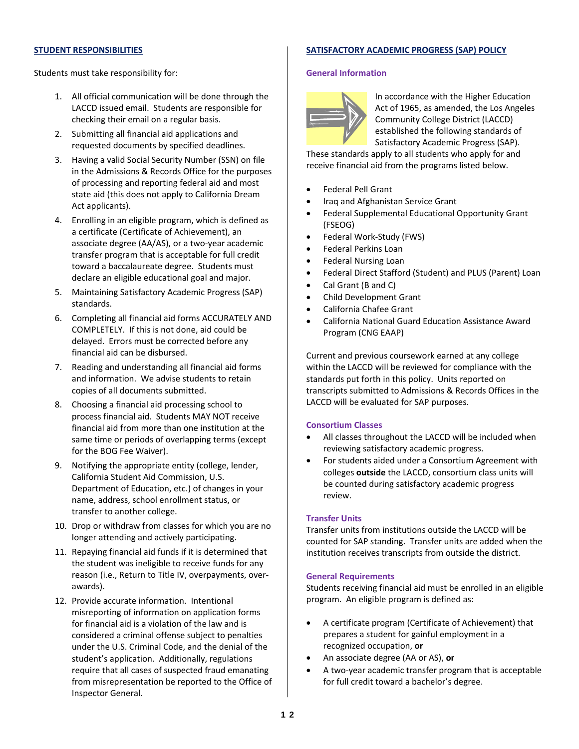#### **STUDENT RESPONSIBILITIES**

# **SATISFACTORY ACADEMIC PROGRESS (SAP) POLICY**

Students must take responsibility for:

- 1. All official communication will be done through the LACCD issued email. Students are responsible for checking their email on a regular basis.
- 2. Submitting all financial aid applications and requested documents by specified deadlines.
- 3. Having a valid Social Security Number (SSN) on file in the Admissions & Records Office for the purposes of processing and reporting federal aid and most state aid (this does not apply to California Dream Act applicants).
- 4. Enrolling in an eligible program, which is defined as a certificate (Certificate of Achievement), an associate degree (AA/AS), or a two‐year academic transfer program that is acceptable for full credit toward a baccalaureate degree. Students must declare an eligible educational goal and major.
- 5. Maintaining Satisfactory Academic Progress (SAP) standards.
- 6. Completing all financial aid forms ACCURATELY AND COMPLETELY. If this is not done, aid could be delayed. Errors must be corrected before any financial aid can be disbursed.
- 7. Reading and understanding all financial aid forms and information. We advise students to retain copies of all documents submitted.
- 8. Choosing a financial aid processing school to process financial aid. Students MAY NOT receive financial aid from more than one institution at the same time or periods of overlapping terms (except for the BOG Fee Waiver).
- 9. Notifying the appropriate entity (college, lender, California Student Aid Commission, U.S. Department of Education, etc.) of changes in your name, address, school enrollment status, or transfer to another college.
- 10. Drop or withdraw from classes for which you are no longer attending and actively participating.
- 11. Repaying financial aid funds if it is determined that the student was ineligible to receive funds for any reason (i.e., Return to Title IV, overpayments, over‐ awards).
- 12. Provide accurate information. Intentional misreporting of information on application forms for financial aid is a violation of the law and is considered a criminal offense subject to penalties under the U.S. Criminal Code, and the denial of the student's application. Additionally, regulations require that all cases of suspected fraud emanating from misrepresentation be reported to the Office of Inspector General.

# **General Information**



In accordance with the Higher Education Act of 1965, as amended, the Los Angeles Community College District (LACCD) established the following standards of Satisfactory Academic Progress (SAP).

These standards apply to all students who apply for and receive financial aid from the programs listed below.

- Federal Pell Grant
- Iraq and Afghanistan Service Grant
- Federal Supplemental Educational Opportunity Grant (FSEOG)
- Federal Work-Study (FWS)
- Federal Perkins Loan
- Federal Nursing Loan
- Federal Direct Stafford (Student) and PLUS (Parent) Loan
- Cal Grant (B and C)
- Child Development Grant
- California Chafee Grant
- California National Guard Education Assistance Award Program (CNG EAAP)

Current and previous coursework earned at any college within the LACCD will be reviewed for compliance with the standards put forth in this policy. Units reported on transcripts submitted to Admissions & Records Offices in the LACCD will be evaluated for SAP purposes.

# **Consortium Classes**

- All classes throughout the LACCD will be included when reviewing satisfactory academic progress.
- For students aided under a Consortium Agreement with colleges **outside** the LACCD, consortium class units will be counted during satisfactory academic progress review.

# **Transfer Units**

Transfer units from institutions outside the LACCD will be counted for SAP standing. Transfer units are added when the institution receives transcripts from outside the district.

# **General Requirements**

Students receiving financial aid must be enrolled in an eligible program. An eligible program is defined as:

- A certificate program (Certificate of Achievement) that prepares a student for gainful employment in a recognized occupation, **or**
- An associate degree (AA or AS), **or**
- A two‐year academic transfer program that is acceptable for full credit toward a bachelor's degree.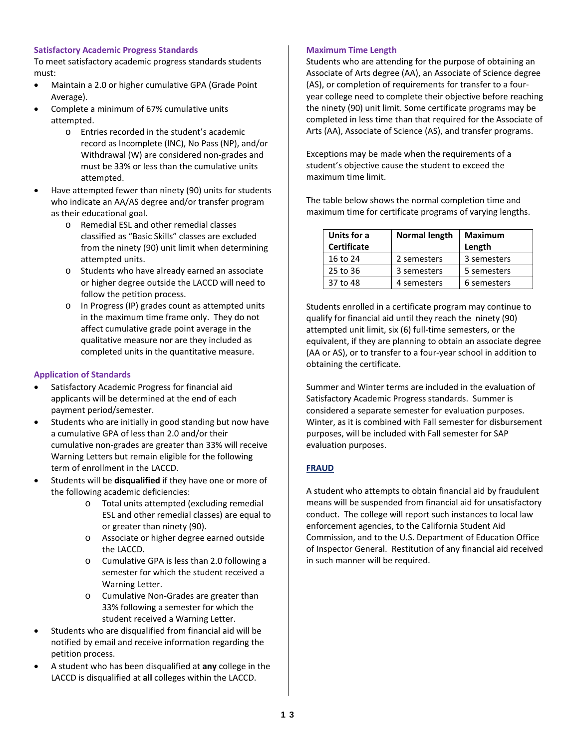# **Satisfactory Academic Progress Standards**

To meet satisfactory academic progress standards students must:

- Maintain a 2.0 or higher cumulative GPA (Grade Point Average).
- Complete a minimum of 67% cumulative units attempted.
	- o Entries recorded in the student's academic record as Incomplete (INC), No Pass (NP), and/or Withdrawal (W) are considered non‐grades and must be 33% or less than the cumulative units attempted.
- Have attempted fewer than ninety (90) units for students who indicate an AA/AS degree and/or transfer program as their educational goal.
	- o Remedial ESL and other remedial classes classified as "Basic Skills" classes are excluded from the ninety (90) unit limit when determining attempted units.
	- o Students who have already earned an associate or higher degree outside the LACCD will need to follow the petition process.
	- o In Progress (IP) grades count as attempted units in the maximum time frame only. They do not affect cumulative grade point average in the qualitative measure nor are they included as completed units in the quantitative measure.

# **Application of Standards**

- Satisfactory Academic Progress for financial aid applicants will be determined at the end of each payment period/semester.
- Students who are initially in good standing but now have a cumulative GPA of less than 2.0 and/or their cumulative non‐grades are greater than 33% will receive Warning Letters but remain eligible for the following term of enrollment in the LACCD.
- Students will be **disqualified** if they have one or more of the following academic deficiencies:
	- o Total units attempted (excluding remedial ESL and other remedial classes) are equal to or greater than ninety (90).
	- o Associate or higher degree earned outside the LACCD.
	- o Cumulative GPA is less than 2.0 following a semester for which the student received a Warning Letter.
	- o Cumulative Non‐Grades are greater than 33% following a semester for which the student received a Warning Letter.
- Students who are disqualified from financial aid will be notified by email and receive information regarding the petition process.
- A student who has been disqualified at **any** college in the LACCD is disqualified at **all** colleges within the LACCD.

# **Maximum Time Length**

Students who are attending for the purpose of obtaining an Associate of Arts degree (AA), an Associate of Science degree (AS), or completion of requirements for transfer to a four‐ year college need to complete their objective before reaching the ninety (90) unit limit. Some certificate programs may be completed in less time than that required for the Associate of Arts (AA), Associate of Science (AS), and transfer programs.

Exceptions may be made when the requirements of a student's objective cause the student to exceed the maximum time limit.

The table below shows the normal completion time and maximum time for certificate programs of varying lengths.

| Units for a        | Normal length | <b>Maximum</b> |
|--------------------|---------------|----------------|
| <b>Certificate</b> |               | Length         |
| 16 to 24           | 2 semesters   | 3 semesters    |
| 25 to 36           | 3 semesters   | 5 semesters    |
| 37 to 48           | 4 semesters   | 6 semesters    |

Students enrolled in a certificate program may continue to qualify for financial aid until they reach the ninety (90) attempted unit limit, six (6) full‐time semesters, or the equivalent, if they are planning to obtain an associate degree (AA or AS), or to transfer to a four‐year school in addition to obtaining the certificate.

Summer and Winter terms are included in the evaluation of Satisfactory Academic Progress standards. Summer is considered a separate semester for evaluation purposes. Winter, as it is combined with Fall semester for disbursement purposes, will be included with Fall semester for SAP evaluation purposes.

# **FRAUD**

A student who attempts to obtain financial aid by fraudulent means will be suspended from financial aid for unsatisfactory conduct. The college will report such instances to local law enforcement agencies, to the California Student Aid Commission, and to the U.S. Department of Education Office of Inspector General. Restitution of any financial aid received in such manner will be required.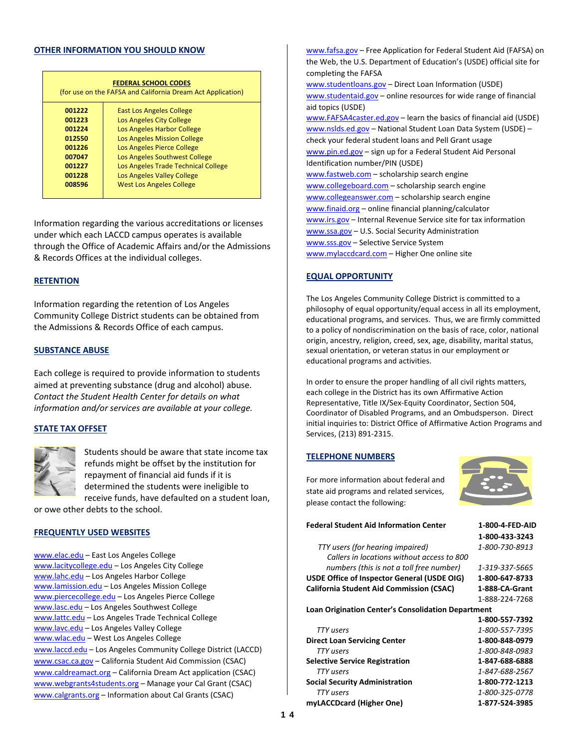#### **OTHER INFORMATION YOU SHOULD KNOW**

| <b>FEDERAL SCHOOL CODES</b><br>(for use on the FAFSA and California Dream Act Application) |                                     |  |  |  |  |
|--------------------------------------------------------------------------------------------|-------------------------------------|--|--|--|--|
| 001222                                                                                     | <b>East Los Angeles College</b>     |  |  |  |  |
| 001223                                                                                     | Los Angeles City College            |  |  |  |  |
| 001224                                                                                     | Los Angeles Harbor College          |  |  |  |  |
| 012550                                                                                     | <b>Los Angeles Mission College</b>  |  |  |  |  |
| 001226                                                                                     | Los Angeles Pierce College          |  |  |  |  |
| 007047                                                                                     | Los Angeles Southwest College       |  |  |  |  |
| 001227                                                                                     | Los Angeles Trade Technical College |  |  |  |  |
| 001228                                                                                     | Los Angeles Valley College          |  |  |  |  |
| 008596                                                                                     | <b>West Los Angeles College</b>     |  |  |  |  |
|                                                                                            |                                     |  |  |  |  |

Information regarding the various accreditations or licenses under which each LACCD campus operates is available through the Office of Academic Affairs and/or the Admissions & Records Offices at the individual colleges.

#### **RETENTION**

Information regarding the retention of Los Angeles Community College District students can be obtained from the Admissions & Records Office of each campus.

#### **SUBSTANCE ABUSE**

Each college is required to provide information to students aimed at preventing substance (drug and alcohol) abuse. *Contact the Student Health Center for details on what information and/or services are available at your college.*

#### **STATE TAX OFFSET**



Students should be aware that state income tax refunds might be offset by the institution for repayment of financial aid funds if it is determined the students were ineligible to receive funds, have defaulted on a student loan,

or owe other debts to the school.

#### **FREQUENTLY USED WEBSITES**

www.elac.edu – East Los Angeles College www.lacitycollege.edu – Los Angeles City College www.lahc.edu – Los Angeles Harbor College www.lamission.edu – Los Angeles Mission College www.piercecollege.edu – Los Angeles Pierce College www.lasc.edu – Los Angeles Southwest College www.lattc.edu – Los Angeles Trade Technical College www.lavc.edu – Los Angeles Valley College www.wlac.edu – West Los Angeles College www.laccd.edu – Los Angeles Community College District (LACCD) www.csac.ca.gov – California Student Aid Commission (CSAC) www.caldreamact.org – California Dream Act application (CSAC) www.webgrants4students.org – Manage your Cal Grant (CSAC) www.calgrants.org – Information about Cal Grants (CSAC)

www.fafsa.gov – Free Application for Federal Student Aid (FAFSA) on the Web, the U.S. Department of Education's (USDE) official site for completing the FAFSA www.studentloans.gov – Direct Loan Information (USDE) www.studentaid.gov – online resources for wide range of financial aid topics (USDE) www.FAFSA4caster.ed.gov – learn the basics of financial aid (USDE) www.nslds.ed.gov – National Student Loan Data System (USDE) – check your federal student loans and Pell Grant usage www.pin.ed.gov - sign up for a Federal Student Aid Personal Identification number/PIN (USDE) www.fastweb.com – scholarship search engine www.collegeboard.com - scholarship search engine

www.collegeanswer.com – scholarship search engine www.finaid.org – online financial planning/calculator www.irs.gov - Internal Revenue Service site for tax information www.ssa.gov – U.S. Social Security Administration www.sss.gov - Selective Service System www.mylaccdcard.com - Higher One online site

#### **EQUAL OPPORTUNITY**

The Los Angeles Community College District is committed to a philosophy of equal opportunity/equal access in all its employment, educational programs, and services. Thus, we are firmly committed to a policy of nondiscrimination on the basis of race, color, national origin, ancestry, religion, creed, sex, age, disability, marital status, sexual orientation, or veteran status in our employment or educational programs and activities.

In order to ensure the proper handling of all civil rights matters, each college in the District has its own Affirmative Action Representative, Title IX/Sex‐Equity Coordinator, Section 504, Coordinator of Disabled Programs, and an Ombudsperson. Direct initial inquiries to: District Office of Affirmative Action Programs and Services, (213) 891‐2315.

#### **TELEPHONE NUMBERS**

please contact the following:

For more information about federal and state aid programs and related services,



| <b>Federal Student Aid Information Center</b>      | 1-800-4-FED-AID |  |  |
|----------------------------------------------------|-----------------|--|--|
|                                                    | 1-800-433-3243  |  |  |
| TTY users (for hearing impaired)                   | 1-800-730-8913  |  |  |
| Callers in locations without access to 800         |                 |  |  |
| numbers (this is not a toll free number)           | 1-319-337-5665  |  |  |
| USDE Office of Inspector General (USDE OIG)        | 1-800-647-8733  |  |  |
| <b>California Student Aid Commission (CSAC)</b>    | 1-888-CA-Grant  |  |  |
|                                                    | 1-888-224-7268  |  |  |
| Loan Origination Center's Consolidation Department |                 |  |  |
|                                                    | 1-800-557-7392  |  |  |
| <b>TTY</b> users                                   | 1-800-557-7395  |  |  |
| <b>Direct Loan Servicing Center</b>                | 1-800-848-0979  |  |  |
| TTY users                                          | 1-800-848-0983  |  |  |
| <b>Selective Service Registration</b>              | 1-847-688-6888  |  |  |
| TTY users                                          | 1-847-688-2567  |  |  |
| <b>Social Security Administration</b>              | 1-800-772-1213  |  |  |
| TTY users                                          | 1-800-325-0778  |  |  |
| myLACCDcard (Higher One)                           | 1-877-524-3985  |  |  |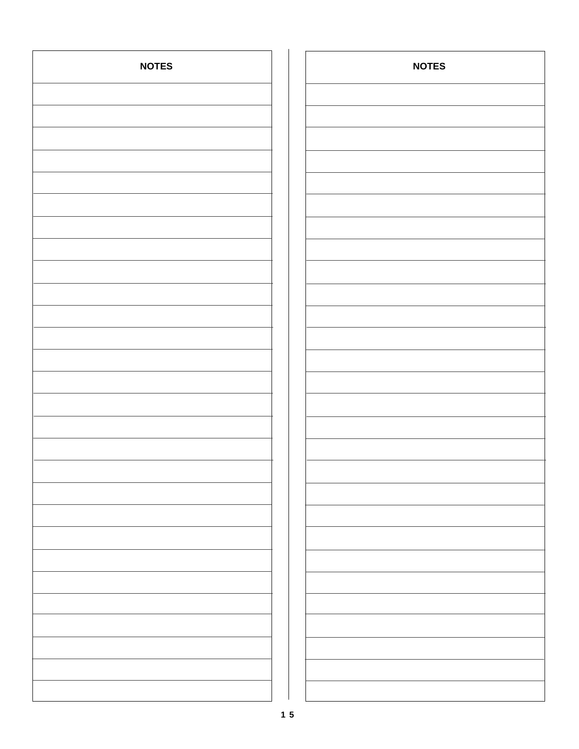| <b>NOTES</b> | <b>NOTES</b> |
|--------------|--------------|
|              |              |
|              |              |
|              |              |
|              |              |
|              |              |
|              |              |
|              |              |
|              |              |
|              |              |
|              |              |
|              |              |
|              |              |
|              |              |
|              |              |
|              |              |
|              |              |
|              |              |
|              |              |
|              |              |
|              |              |
|              |              |
|              |              |
|              |              |
|              |              |
|              |              |
|              |              |
|              |              |
|              |              |
|              |              |
|              |              |